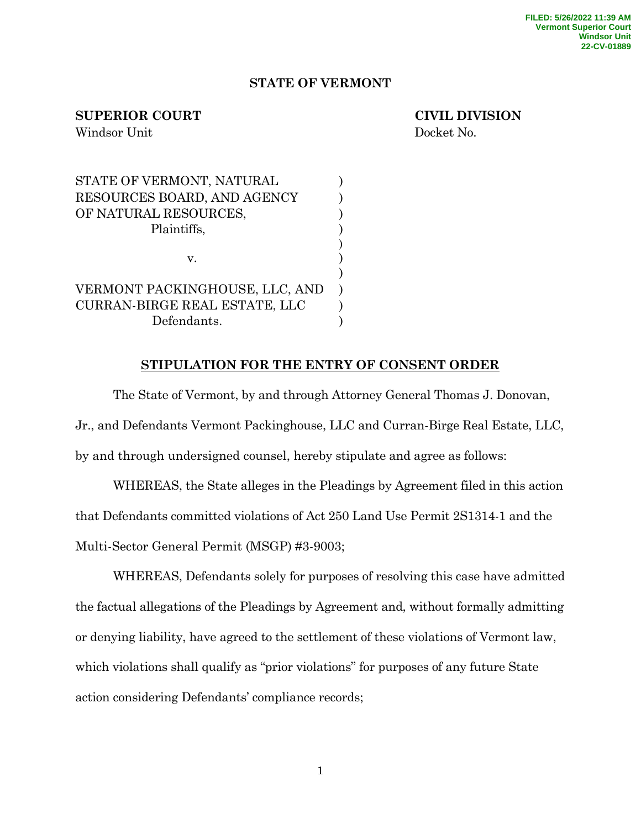## **STATE OF VERMONT**

## **SUPERIOR COURT CIVIL DIVISION**

Windsor Unit Docket No.

| STATE OF VERMONT, NATURAL      |  |
|--------------------------------|--|
| RESOURCES BOARD, AND AGENCY    |  |
| OF NATURAL RESOURCES,          |  |
| Plaintiffs,                    |  |
|                                |  |
| $V_{-}$                        |  |
|                                |  |
| VERMONT PACKINGHOUSE, LLC, AND |  |
| CURRAN-BIRGE REAL ESTATE, LLC  |  |
| Defendants.                    |  |

## **STIPULATION FOR THE ENTRY OF CONSENT ORDER**

The State of Vermont, by and through Attorney General Thomas J. Donovan, Jr., and Defendants Vermont Packinghouse, LLC and Curran-Birge Real Estate, LLC, by and through undersigned counsel, hereby stipulate and agree as follows:

WHEREAS, the State alleges in the Pleadings by Agreement filed in this action that Defendants committed violations of Act 250 Land Use Permit 2S1314-1 and the Multi-Sector General Permit (MSGP) #3-9003;

WHEREAS, Defendants solely for purposes of resolving this case have admitted the factual allegations of the Pleadings by Agreement and, without formally admitting or denying liability, have agreed to the settlement of these violations of Vermont law, which violations shall qualify as "prior violations" for purposes of any future State action considering Defendants' compliance records;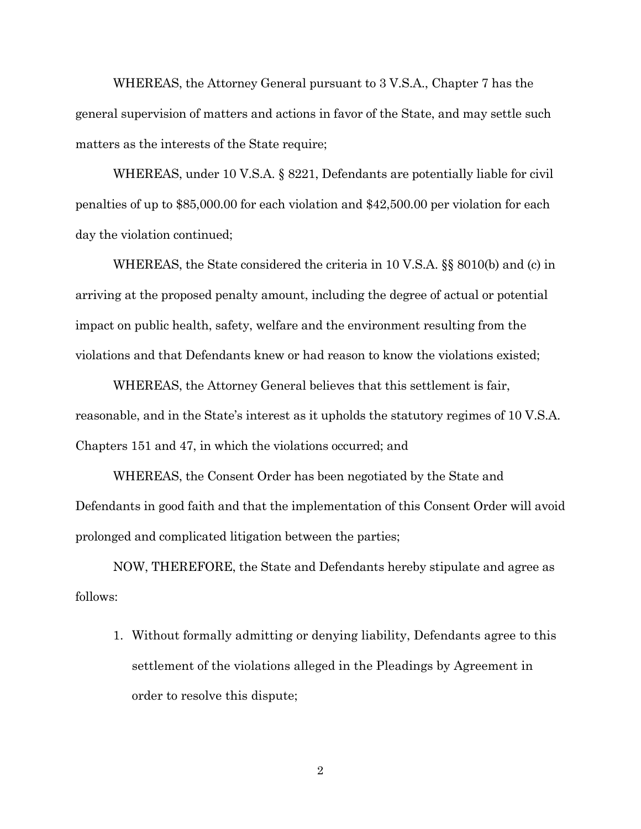WHEREAS, the Attorney General pursuant to 3 V.S.A., Chapter 7 has the general supervision of matters and actions in favor of the State, and may settle such matters as the interests of the State require;

WHEREAS, under 10 V.S.A. § 8221, Defendants are potentially liable for civil penalties of up to \$85,000.00 for each violation and \$42,500.00 per violation for each day the violation continued;

WHEREAS, the State considered the criteria in 10 V.S.A. §§ 8010(b) and (c) in arriving at the proposed penalty amount, including the degree of actual or potential impact on public health, safety, welfare and the environment resulting from the violations and that Defendants knew or had reason to know the violations existed;

WHEREAS, the Attorney General believes that this settlement is fair, reasonable, and in the State's interest as it upholds the statutory regimes of 10 V.S.A. Chapters 151 and 47, in which the violations occurred; and

WHEREAS, the Consent Order has been negotiated by the State and Defendants in good faith and that the implementation of this Consent Order will avoid prolonged and complicated litigation between the parties;

NOW, THEREFORE, the State and Defendants hereby stipulate and agree as follows:

1. Without formally admitting or denying liability, Defendants agree to this settlement of the violations alleged in the Pleadings by Agreement in order to resolve this dispute;

2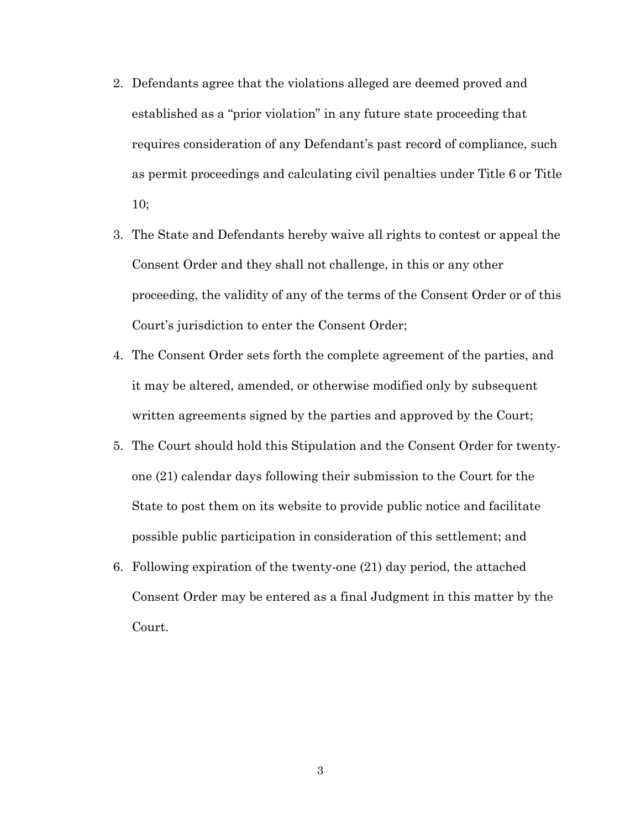- 2. Defendants agree that the violations alleged are deemed proved and established as a "prior violation" in any future state proceeding that requires consideration of any Defendant's past record of compliance, such as permit proceedings and calculating civil penalties under Title 6 or Title 10;
- 3. The State and Defendants hereby waive all rights to contest or appeal the Consent Order and they shall not challenge, in this or any other proceeding, the validity of any of the terms of the Consent Order or of this Court's jurisdiction to enter the Consent Order;
- 4. The Consent Order sets forth the complete agreement of the parties, and it may be altered, amended, or otherwise modified only by subsequent written agreements signed by the parties and approved by the Court;
- 5. The Court should hold this Stipulation and the Consent Order for twentyone (21) calendar days following their submission to the Court for the State to post them on its website to provide public notice and facilitate possible public participation in consideration of this settlement; and
- 6. Following expiration of the twenty-one (21) day period, the attached Consent Order may be entered as a final Judgment in this matter by the Court.

3